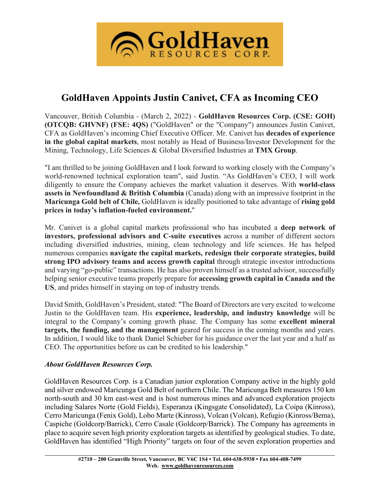

# **GoldHaven Appoints Justin Canivet, CFA as Incoming CEO**

Vancouver, British Columbia - (March 2, 2022) - **GoldHaven Resources Corp. (CSE: GOH) (OTCQB: GHVNF) (FSE: 4QS)** ("GoldHaven" or the "Company") announces Justin Canivet, CFA as GoldHaven's incoming Chief Executive Officer. Mr. Canivet has **decades of experience in the global capital markets**, most notably as Head of Business/Investor Development for the Mining, Technology, Life Sciences & Global Diversified Industries at **TMX Group**.

"I am thrilled to be joining GoldHaven and I look forward to working closely with the Company's world-renowned technical exploration team", said Justin. "As GoldHaven's CEO, I will work diligently to ensure the Company achieves the market valuation it deserves. With **world-class assets in Newfoundland & British Columbia** (Canada) along with an impressive footprint in the **Maricunga Gold belt of Chile,** GoldHaven is ideally positioned to take advantage of **rising gold prices in today's inflation-fueled environment.**"

Mr. Canivet is a global capital markets professional who has incubated a **deep network of investors, professional advisors and C-suite executives** across a number of different sectors including diversified industries, mining, clean technology and life sciences. He has helped numerous companies **navigate the capital markets, redesign their corporate strategies, build strong IPO advisory teams and access growth capital** through strategic investor introductions and varying "go-public" transactions. He has also proven himself as a trusted advisor, successfully helping senior executive teams properly prepare for **accessing growth capital in Canada and the US**, and prides himself in staying on top of industry trends.

David Smith, GoldHaven's President, stated: "The Board of Directors are very excited to welcome Justin to the GoldHaven team. His **experience, leadership, and industry knowledge** will be integral to the Company's coming growth phase. The Company has some **excellent mineral targets, the funding, and the management** geared for success in the coming months and years. In addition, I would like to thank Daniel Schieber for his guidance over the last year and a half as CEO. The opportunities before us can be credited to his leadership."

# *About GoldHaven Resources Corp.*

GoldHaven Resources Corp. is a Canadian junior exploration Company active in the highly gold and silver endowed Maricunga Gold Belt of northern Chile. The Maricunga Belt measures 150 km north-south and 30 km east-west and is host numerous mines and advanced exploration projects including Salares Norte (Gold Fields), Esperanza (Kingsgate Consolidated), La Coipa (Kinross), Cerro Maricunga (Fenix Gold), Lobo Marte (Kinross), Volcan (Volcan), Refugio (Kinross/Bema), Caspiche (Goldcorp/Barrick), Cerro Casale (Goldcorp/Barrick). The Company has agreements in place to acquire seven high priority exploration targets as identified by geological studies. To date, GoldHaven has identified "High Priority" targets on four of the seven exploration properties and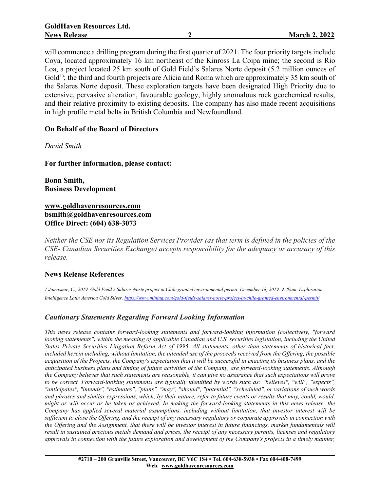will commence a drilling program during the first quarter of 2021. The four priority targets include Coya, located approximately 16 km northeast of the Kinross La Coipa mine; the second is Rio Loa, a project located 25 km south of Gold Field's Salares Norte deposit (5.2 million ounces of  $Gold<sup>1</sup>$ ; the third and fourth projects are Alicia and Roma which are approximately 35 km south of the Salares Norte deposit. These exploration targets have been designated High Priority due to extensive, pervasive alteration, favourable geology, highly anomalous rock geochemical results, and their relative proximity to existing deposits. The company has also made recent acquisitions in high profile metal belts in British Columbia and Newfoundland.

# **On Behalf of the Board of Directors**

*David Smith*

**For further information, please contact:**

**Bonn Smith, Business Development**

#### **[www.goldhavenresources.com](http://www.goldhavenresources.com/) bsmith@goldhavenresources.com Office Direct: (604) 638-3073**

Neither the CSE nor its Regulation Services Provider (as that term is defined in the policies of the *CSE- Canadian Securities Exchange) accepts responsibility for the adequacy or accuracy of this release.*

## **News Release References**

1 Jamasmie, C., 2019. Gold Field's Salares Norte project in Chile granted environmental permit. December 18, 2019, 9:29am. Exploration *Intelligence Latin America Gold Silver. <https://www.mining.com/gold-fields-salares-norte-project-in-chile-granted-environmental-permit/>*

## *Cautionary Statements Regarding Forward Looking Information*

*This news release contains forward-looking statements and forward-looking information (collectively, "forward looking statements") within the meaning of applicable Canadian and U.S. securities legislation, including the United* States Private Securities Litigation Reform Act of 1995. All statements, other than statements of historical fact, included herein including, without limitation, the intended use of the proceeds received from the Offering, the possible acquisition of the Projects, the Company's expectation that it will be successful in enacting its business plans, and the *anticipated business plans and timing of future activities of the Company, are forward-looking statements. Although* the Company believes that such statements are reasonable, it can give no assurance that such expectations will prove *to be correct. Forward-looking statements are typically identified by words such as: "believes", "will", "expects", "anticipates", "intends", "estimates", "plans", "may", "should", "potential", "scheduled", or variations of such words* and phrases and similar expressions, which, by their nature, refer to future events or results that may, could, would, might or will occur or be taken or achieved. In making the forward-looking statements in this news release, the *Company has applied several material assumptions, including without limitation, that investor interest will be* sufficient to close the Offering, and the receipt of any necessary regulatory or corporate approvals in connection with the Offering and the Assignment, that there will be investor interest in future financings, market fundamentals will result in sustained precious metals demand and prices, the receipt of any necessary permits, licenses and regulatory approvals in connection with the future exploration and development of the Company's projects in a timely manner,